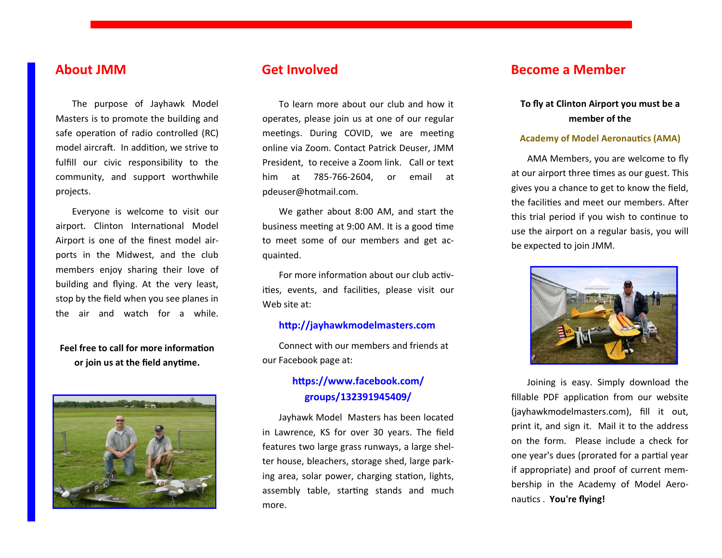# **About JMM**

The purpose of Jayhawk Model Masters is to promote the building and safe operation of radio controlled (RC) model aircraft. In addition, we strive to fulfill our civic responsibility to the community, and support worthwhile projects.

Everyone is welcome to visit our airport. Clinton International Model Airport is one of the finest model airports in the Midwest, and the club members enjoy sharing their love of building and flying. At the very least, stop by the field when you see planes in the air and watch for a while.

### **Feel free to call for more information or join us at the field anytime.**



To learn more about our club and how it operates, please join us at one of our regular meetings. During COVID, we are meeting online via Zoom. Contact Patrick Deuser, JMM President, to receive a Zoom link. Call or text him at 785-766-2604, or email at pdeuser@hotmail.com.

We gather about 8:00 AM, and start the business meeting at 9:00 AM. It is a good time to meet some of our members and get acquainted.

For more information about our club activities, events, and facilities, please visit our Web site at:

#### **http://jayhawkmodelmasters.com**

Connect with our members and friends at our Facebook page at:

## **https://www.facebook.com/ groups/132391945409/**

Jayhawk Model Masters has been located in Lawrence, KS for over 30 years. The field features two large grass runways, a large shelter house, bleachers, storage shed, large parking area, solar power, charging station, lights, assembly table, starting stands and much more.

## **Get Involved Become a Member**

### **To fly at Clinton Airport you must be a member of the**

#### **Academy of Model Aeronautics (AMA)**

AMA Members, you are welcome to fly at our airport three times as our guest. This gives you a chance to get to know the field, the facilities and meet our members. After this trial period if you wish to continue to use the airport on a regular basis, you will be expected to join JMM.



Joining is easy. Simply download the fillable PDF application from our website (jayhawkmodelmasters.com), fill it out, print it, and sign it. Mail it to the address on the form. Please include a check for one year's dues (prorated for a partial year if appropriate) and proof of current membership in the Academy of Model Aeronautics . **You're flying!**